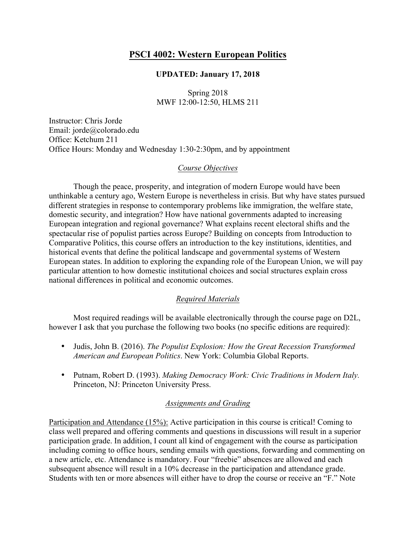# **PSCI 4002: Western European Politics**

### **UPDATED: January 17, 2018**

Spring 2018 MWF 12:00-12:50, HLMS 211

Instructor: Chris Jorde Email: jorde@colorado.edu Office: Ketchum 211 Office Hours: Monday and Wednesday 1:30-2:30pm, and by appointment

### *Course Objectives*

Though the peace, prosperity, and integration of modern Europe would have been unthinkable a century ago, Western Europe is nevertheless in crisis. But why have states pursued different strategies in response to contemporary problems like immigration, the welfare state, domestic security, and integration? How have national governments adapted to increasing European integration and regional governance? What explains recent electoral shifts and the spectacular rise of populist parties across Europe? Building on concepts from Introduction to Comparative Politics, this course offers an introduction to the key institutions, identities, and historical events that define the political landscape and governmental systems of Western European states. In addition to exploring the expanding role of the European Union, we will pay particular attention to how domestic institutional choices and social structures explain cross national differences in political and economic outcomes.

# *Required Materials*

Most required readings will be available electronically through the course page on D2L, however I ask that you purchase the following two books (no specific editions are required):

- Judis, John B. (2016). *The Populist Explosion: How the Great Recession Transformed American and European Politics*. New York: Columbia Global Reports.
- Putnam, Robert D. (1993). *Making Democracy Work: Civic Traditions in Modern Italy.*  Princeton, NJ: Princeton University Press.

# *Assignments and Grading*

Participation and Attendance (15%): Active participation in this course is critical! Coming to class well prepared and offering comments and questions in discussions will result in a superior participation grade. In addition, I count all kind of engagement with the course as participation including coming to office hours, sending emails with questions, forwarding and commenting on a new article, etc. Attendance is mandatory. Four "freebie" absences are allowed and each subsequent absence will result in a 10% decrease in the participation and attendance grade. Students with ten or more absences will either have to drop the course or receive an "F." Note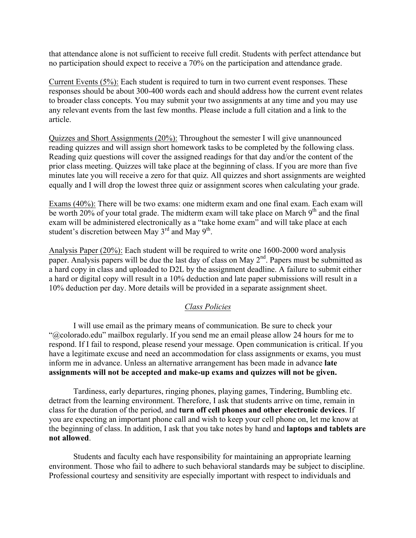that attendance alone is not sufficient to receive full credit. Students with perfect attendance but no participation should expect to receive a 70% on the participation and attendance grade.

Current Events (5%): Each student is required to turn in two current event responses. These responses should be about 300-400 words each and should address how the current event relates to broader class concepts. You may submit your two assignments at any time and you may use any relevant events from the last few months. Please include a full citation and a link to the article.

Quizzes and Short Assignments (20%): Throughout the semester I will give unannounced reading quizzes and will assign short homework tasks to be completed by the following class. Reading quiz questions will cover the assigned readings for that day and/or the content of the prior class meeting. Quizzes will take place at the beginning of class. If you are more than five minutes late you will receive a zero for that quiz. All quizzes and short assignments are weighted equally and I will drop the lowest three quiz or assignment scores when calculating your grade.

Exams (40%): There will be two exams: one midterm exam and one final exam. Each exam will be worth 20% of your total grade. The midterm exam will take place on March  $9<sup>th</sup>$  and the final exam will be administered electronically as a "take home exam" and will take place at each student's discretion between May  $3<sup>rd</sup>$  and May  $9<sup>th</sup>$ .

Analysis Paper (20%): Each student will be required to write one 1600-2000 word analysis paper. Analysis papers will be due the last day of class on May  $2<sup>nd</sup>$ . Papers must be submitted as a hard copy in class and uploaded to D2L by the assignment deadline. A failure to submit either a hard or digital copy will result in a 10% deduction and late paper submissions will result in a 10% deduction per day. More details will be provided in a separate assignment sheet.

# *Class Policies*

I will use email as the primary means of communication. Be sure to check your "@colorado.edu" mailbox regularly. If you send me an email please allow 24 hours for me to respond. If I fail to respond, please resend your message. Open communication is critical. If you have a legitimate excuse and need an accommodation for class assignments or exams, you must inform me in advance. Unless an alternative arrangement has been made in advance **late assignments will not be accepted and make-up exams and quizzes will not be given.**

Tardiness, early departures, ringing phones, playing games, Tindering, Bumbling etc. detract from the learning environment. Therefore, I ask that students arrive on time, remain in class for the duration of the period, and **turn off cell phones and other electronic devices**. If you are expecting an important phone call and wish to keep your cell phone on, let me know at the beginning of class. In addition, I ask that you take notes by hand and **laptops and tablets are not allowed**.

Students and faculty each have responsibility for maintaining an appropriate learning environment. Those who fail to adhere to such behavioral standards may be subject to discipline. Professional courtesy and sensitivity are especially important with respect to individuals and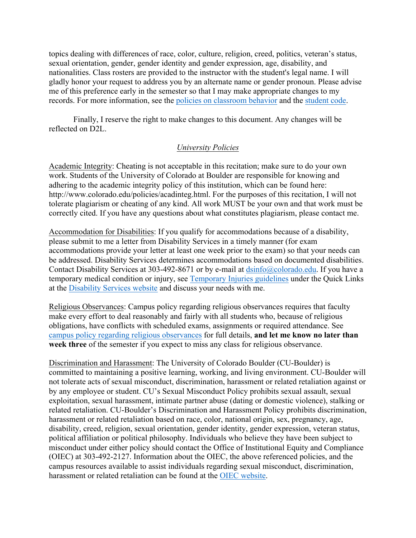topics dealing with differences of race, color, culture, religion, creed, politics, veteran's status, sexual orientation, gender, gender identity and gender expression, age, disability, and nationalities. Class rosters are provided to the instructor with the student's legal name. I will gladly honor your request to address you by an alternate name or gender pronoun. Please advise me of this preference early in the semester so that I may make appropriate changes to my records. For more information, see the policies on classroom behavior and the student code.

Finally, I reserve the right to make changes to this document. Any changes will be reflected on D2L.

### *University Policies*

Academic Integrity: Cheating is not acceptable in this recitation; make sure to do your own work. Students of the University of Colorado at Boulder are responsible for knowing and adhering to the academic integrity policy of this institution, which can be found here: http://www.colorado.edu/policies/acadinteg.html. For the purposes of this recitation, I will not tolerate plagiarism or cheating of any kind. All work MUST be your own and that work must be correctly cited. If you have any questions about what constitutes plagiarism, please contact me.

Accommodation for Disabilities: If you qualify for accommodations because of a disability, please submit to me a letter from Disability Services in a timely manner (for exam accommodations provide your letter at least one week prior to the exam) so that your needs can be addressed. Disability Services determines accommodations based on documented disabilities. Contact Disability Services at 303-492-8671 or by e-mail at dsinfo@colorado.edu. If you have a temporary medical condition or injury, see Temporary Injuries guidelines under the Quick Links at the Disability Services website and discuss your needs with me.

Religious Observances: Campus policy regarding religious observances requires that faculty make every effort to deal reasonably and fairly with all students who, because of religious obligations, have conflicts with scheduled exams, assignments or required attendance. See campus policy regarding religious observances for full details, **and let me know no later than week three** of the semester if you expect to miss any class for religious observance.

Discrimination and Harassment: The University of Colorado Boulder (CU-Boulder) is committed to maintaining a positive learning, working, and living environment. CU-Boulder will not tolerate acts of sexual misconduct, discrimination, harassment or related retaliation against or by any employee or student. CU's Sexual Misconduct Policy prohibits sexual assault, sexual exploitation, sexual harassment, intimate partner abuse (dating or domestic violence), stalking or related retaliation. CU-Boulder's Discrimination and Harassment Policy prohibits discrimination, harassment or related retaliation based on race, color, national origin, sex, pregnancy, age, disability, creed, religion, sexual orientation, gender identity, gender expression, veteran status, political affiliation or political philosophy. Individuals who believe they have been subject to misconduct under either policy should contact the Office of Institutional Equity and Compliance (OIEC) at 303-492-2127. Information about the OIEC, the above referenced policies, and the campus resources available to assist individuals regarding sexual misconduct, discrimination, harassment or related retaliation can be found at the OIEC website.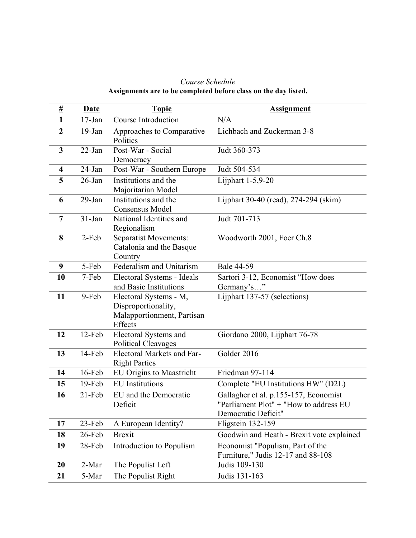| Course Schedule                                                 |
|-----------------------------------------------------------------|
| Assignments are to be completed before class on the day listed. |

| $\frac{\mu}{L}$         | <b>Date</b> | <b>Topic</b>                                                                           | <b>Assignment</b>                                                                                      |
|-------------------------|-------------|----------------------------------------------------------------------------------------|--------------------------------------------------------------------------------------------------------|
| 1                       | $17$ -Jan   | Course Introduction                                                                    | N/A                                                                                                    |
| $\overline{2}$          | $19-Jan$    | Approaches to Comparative<br>Politics                                                  | Lichbach and Zuckerman 3-8                                                                             |
| 3                       | 22-Jan      | Post-War - Social<br>Democracy                                                         | Judt 360-373                                                                                           |
| $\overline{\mathbf{4}}$ | 24-Jan      | Post-War - Southern Europe                                                             | Judt 504-534                                                                                           |
| 5                       | $26$ -Jan   | Institutions and the<br>Majoritarian Model                                             | Lijphart 1-5,9-20                                                                                      |
| 6                       | $29$ -Jan   | Institutions and the<br>Consensus Model                                                | Lijphart 30-40 (read), 274-294 (skim)                                                                  |
| $\overline{7}$          | $31-Jan$    | National Identities and<br>Regionalism                                                 | Judt 701-713                                                                                           |
| 8                       | 2-Feb       | Separatist Movements:<br>Catalonia and the Basque<br>Country                           | Woodworth 2001, Foer Ch.8                                                                              |
| 9                       | 5-Feb       | Federalism and Unitarism                                                               | <b>Bale 44-59</b>                                                                                      |
| 10                      | 7-Feb       | Electoral Systems - Ideals<br>and Basic Institutions                                   | Sartori 3-12, Economist "How does<br>Germany's"                                                        |
| 11                      | 9-Feb       | Electoral Systems - M,<br>Disproportionality,<br>Malapportionment, Partisan<br>Effects | Lijphart 137-57 (selections)                                                                           |
| 12                      | 12-Feb      | Electoral Systems and<br><b>Political Cleavages</b>                                    | Giordano 2000, Lijphart 76-78                                                                          |
| 13                      | 14-Feb      | Electoral Markets and Far-<br><b>Right Parties</b>                                     | Golder 2016                                                                                            |
| 14                      | 16-Feb      | <b>EU Origins to Maastricht</b>                                                        | Friedman 97-114                                                                                        |
| 15                      | 19-Feb      | <b>EU</b> Institutions                                                                 | Complete "EU Institutions HW" (D2L)                                                                    |
| 16                      | $21$ -Feb   | EU and the Democratic<br>Deficit                                                       | Gallagher et al. p.155-157, Economist<br>"Parliament Plot" + "How to address EU<br>Democratic Deficit" |
| 17                      | 23-Feb      | A European Identity?                                                                   | Fligstein 132-159                                                                                      |
| 18                      | 26-Feb      | <b>Brexit</b>                                                                          | Goodwin and Heath - Brexit vote explained                                                              |
| 19                      | 28-Feb      | Introduction to Populism                                                               | Economist "Populism, Part of the<br>Furniture," Judis 12-17 and 88-108                                 |
| 20                      | 2-Mar       | The Populist Left                                                                      | Judis 109-130                                                                                          |
| 21                      | 5-Mar       | The Populist Right                                                                     | Judis 131-163                                                                                          |